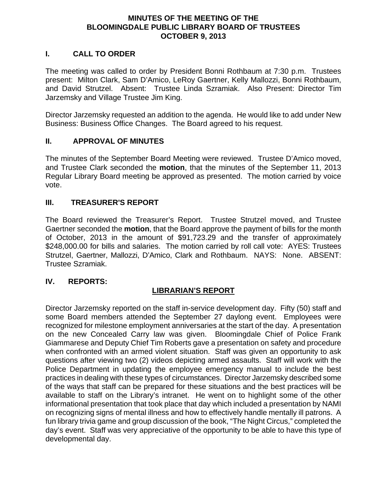#### **MINUTES OF THE MEETING OF THE BLOOMINGDALE PUBLIC LIBRARY BOARD OF TRUSTEES OCTOBER 9, 2013**

### **I. CALL TO ORDER**

The meeting was called to order by President Bonni Rothbaum at 7:30 p.m. Trustees present: Milton Clark, Sam D'Amico, LeRoy Gaertner, Kelly Mallozzi, Bonni Rothbaum, and David Strutzel. Absent: Trustee Linda Szramiak. Also Present: Director Tim Jarzemsky and Village Trustee Jim King.

Director Jarzemsky requested an addition to the agenda. He would like to add under New Business: Business Office Changes. The Board agreed to his request.

#### **II. APPROVAL OF MINUTES**

The minutes of the September Board Meeting were reviewed. Trustee D'Amico moved, and Trustee Clark seconded the **motion**, that the minutes of the September 11, 2013 Regular Library Board meeting be approved as presented. The motion carried by voice vote.

#### **III. TREASURER'S REPORT**

The Board reviewed the Treasurer's Report. Trustee Strutzel moved, and Trustee Gaertner seconded the **motion**, that the Board approve the payment of bills for the month of October, 2013 in the amount of \$91,723.29 and the transfer of approximately \$248,000.00 for bills and salaries. The motion carried by roll call vote: AYES: Trustees Strutzel, Gaertner, Mallozzi, D'Amico, Clark and Rothbaum. NAYS: None. ABSENT: Trustee Szramiak.

#### **IV. REPORTS:**

#### **LIBRARIAN'S REPORT**

Director Jarzemsky reported on the staff in-service development day. Fifty (50) staff and some Board members attended the September 27 daylong event. Employees were recognized for milestone employment anniversaries at the start of the day. A presentation on the new Concealed Carry law was given. Bloomingdale Chief of Police Frank Giammarese and Deputy Chief Tim Roberts gave a presentation on safety and procedure when confronted with an armed violent situation. Staff was given an opportunity to ask questions after viewing two (2) videos depicting armed assaults. Staff will work with the Police Department in updating the employee emergency manual to include the best practices in dealing with these types of circumstances. Director Jarzemsky described some of the ways that staff can be prepared for these situations and the best practices will be available to staff on the Library's intranet. He went on to highlight some of the other informational presentation that took place that day which included a presentation by NAMI on recognizing signs of mental illness and how to effectively handle mentally ill patrons. A fun library trivia game and group discussion of the book, "The Night Circus," completed the day's event. Staff was very appreciative of the opportunity to be able to have this type of developmental day.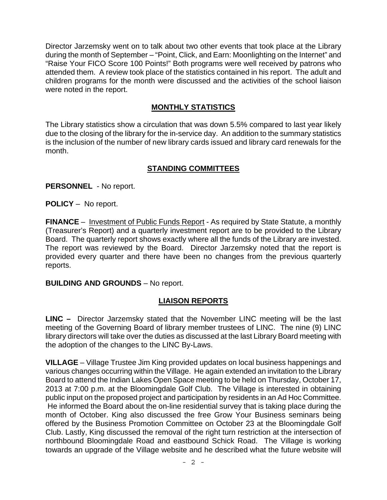Director Jarzemsky went on to talk about two other events that took place at the Library during the month of September – "Point, Click, and Earn: Moonlighting on the Internet" and "Raise Your FICO Score 100 Points!" Both programs were well received by patrons who attended them. A review took place of the statistics contained in his report. The adult and children programs for the month were discussed and the activities of the school liaison were noted in the report.

### **MONTHLY STATISTICS**

The Library statistics show a circulation that was down 5.5% compared to last year likely due to the closing of the library for the in-service day. An addition to the summary statistics is the inclusion of the number of new library cards issued and library card renewals for the month.

## **STANDING COMMITTEES**

**PERSONNEL** - No report.

**POLICY** – No report.

**FINANCE** – Investment of Public Funds Report - As required by State Statute, a monthly (Treasurer's Report) and a quarterly investment report are to be provided to the Library Board. The quarterly report shows exactly where all the funds of the Library are invested. The report was reviewed by the Board. Director Jarzemsky noted that the report is provided every quarter and there have been no changes from the previous quarterly reports.

#### **BUILDING AND GROUNDS** – No report.

## **LIAISON REPORTS**

**LINC –** Director Jarzemsky stated that the November LINC meeting will be the last meeting of the Governing Board of library member trustees of LINC. The nine (9) LINC library directors will take over the duties as discussed at the last Library Board meeting with the adoption of the changes to the LINC By-Laws.

**VILLAGE** – Village Trustee Jim King provided updates on local business happenings and various changes occurring within the Village. He again extended an invitation to the Library Board to attend the Indian Lakes Open Space meeting to be held on Thursday, October 17, 2013 at 7:00 p.m. at the Bloomingdale Golf Club. The Village is interested in obtaining public input on the proposed project and participation by residents in an Ad Hoc Committee. He informed the Board about the on-line residential survey that is taking place during the month of October. King also discussed the free Grow Your Business seminars being offered by the Business Promotion Committee on October 23 at the Bloomingdale Golf Club. Lastly, King discussed the removal of the right turn restriction at the intersection of northbound Bloomingdale Road and eastbound Schick Road. The Village is working towards an upgrade of the Village website and he described what the future website will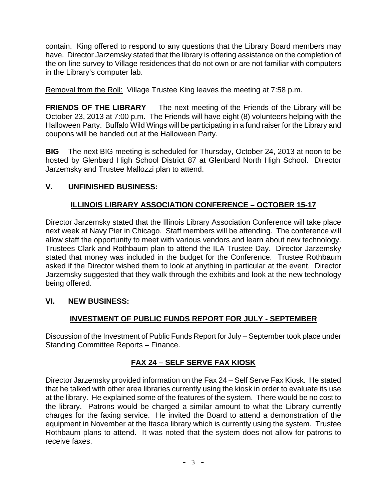contain. King offered to respond to any questions that the Library Board members may have. Director Jarzemsky stated that the library is offering assistance on the completion of the on-line survey to Village residences that do not own or are not familiar with computers in the Library's computer lab.

Removal from the Roll: Village Trustee King leaves the meeting at 7:58 p.m.

**FRIENDS OF THE LIBRARY** – The next meeting of the Friends of the Library will be October 23, 2013 at 7:00 p.m. The Friends will have eight (8) volunteers helping with the Halloween Party. Buffalo Wild Wings will be participating in a fund raiser for the Library and coupons will be handed out at the Halloween Party.

**BIG** - The next BIG meeting is scheduled for Thursday, October 24, 2013 at noon to be hosted by Glenbard High School District 87 at Glenbard North High School. Director Jarzemsky and Trustee Mallozzi plan to attend.

### **V. UNFINISHED BUSINESS:**

## **ILLINOIS LIBRARY ASSOCIATION CONFERENCE – OCTOBER 15-17**

Director Jarzemsky stated that the Illinois Library Association Conference will take place next week at Navy Pier in Chicago. Staff members will be attending. The conference will allow staff the opportunity to meet with various vendors and learn about new technology. Trustees Clark and Rothbaum plan to attend the ILA Trustee Day. Director Jarzemsky stated that money was included in the budget for the Conference. Trustee Rothbaum asked if the Director wished them to look at anything in particular at the event. Director Jarzemsky suggested that they walk through the exhibits and look at the new technology being offered.

#### **VI. NEW BUSINESS:**

## **INVESTMENT OF PUBLIC FUNDS REPORT FOR JULY - SEPTEMBER**

Discussion of the Investment of Public Funds Report for July – September took place under Standing Committee Reports – Finance.

## **FAX 24 – SELF SERVE FAX KIOSK**

Director Jarzemsky provided information on the Fax 24 – Self Serve Fax Kiosk. He stated that he talked with other area libraries currently using the kiosk in order to evaluate its use at the library. He explained some of the features of the system. There would be no cost to the library. Patrons would be charged a similar amount to what the Library currently charges for the faxing service. He invited the Board to attend a demonstration of the equipment in November at the Itasca library which is currently using the system. Trustee Rothbaum plans to attend. It was noted that the system does not allow for patrons to receive faxes.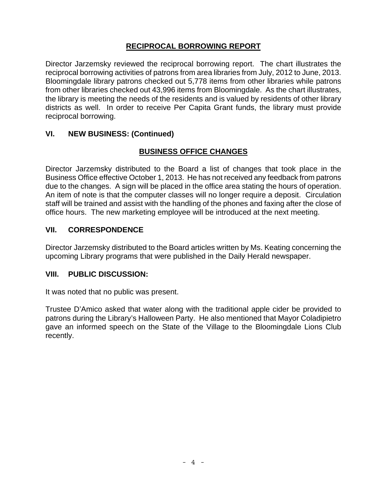# **RECIPROCAL BORROWING REPORT**

Director Jarzemsky reviewed the reciprocal borrowing report. The chart illustrates the reciprocal borrowing activities of patrons from area libraries from July, 2012 to June, 2013. Bloomingdale library patrons checked out 5,778 items from other libraries while patrons from other libraries checked out 43,996 items from Bloomingdale. As the chart illustrates, the library is meeting the needs of the residents and is valued by residents of other library districts as well. In order to receive Per Capita Grant funds, the library must provide reciprocal borrowing.

## **VI. NEW BUSINESS: (Continued)**

# **BUSINESS OFFICE CHANGES**

Director Jarzemsky distributed to the Board a list of changes that took place in the Business Office effective October 1, 2013. He has not received any feedback from patrons due to the changes. A sign will be placed in the office area stating the hours of operation. An item of note is that the computer classes will no longer require a deposit. Circulation staff will be trained and assist with the handling of the phones and faxing after the close of office hours. The new marketing employee will be introduced at the next meeting.

## **VII. CORRESPONDENCE**

Director Jarzemsky distributed to the Board articles written by Ms. Keating concerning the upcoming Library programs that were published in the Daily Herald newspaper.

## **VIII. PUBLIC DISCUSSION:**

It was noted that no public was present.

Trustee D'Amico asked that water along with the traditional apple cider be provided to patrons during the Library's Halloween Party. He also mentioned that Mayor Coladipietro gave an informed speech on the State of the Village to the Bloomingdale Lions Club recently.